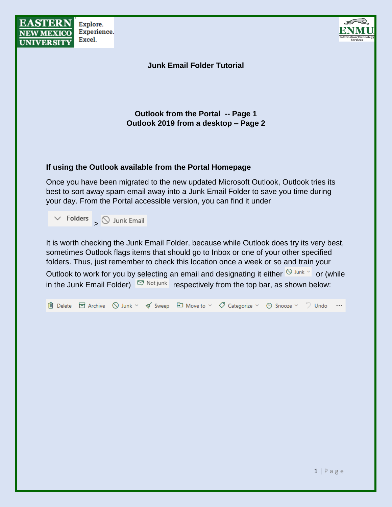| <b>EASTERN</b><br><b>NEW MEXICO</b><br><b>UNIVERSITY</b> | Explore.<br>Experience.<br>Excel.    |                                                                                                                                                                                                                                                                                                                                                                                                                                                                                             |  |  |  |  |
|----------------------------------------------------------|--------------------------------------|---------------------------------------------------------------------------------------------------------------------------------------------------------------------------------------------------------------------------------------------------------------------------------------------------------------------------------------------------------------------------------------------------------------------------------------------------------------------------------------------|--|--|--|--|
| <b>Junk Email Folder Tutorial</b>                        |                                      |                                                                                                                                                                                                                                                                                                                                                                                                                                                                                             |  |  |  |  |
|                                                          |                                      | <b>Outlook from the Portal -- Page 1</b><br>Outlook 2019 from a desktop - Page 2                                                                                                                                                                                                                                                                                                                                                                                                            |  |  |  |  |
|                                                          |                                      | If using the Outlook available from the Portal Homepage                                                                                                                                                                                                                                                                                                                                                                                                                                     |  |  |  |  |
|                                                          |                                      | Once you have been migrated to the new updated Microsoft Outlook, Outlook tries its<br>best to sort away spam email away into a Junk Email Folder to save you time during<br>your day. From the Portal accessible version, you can find it under                                                                                                                                                                                                                                            |  |  |  |  |
|                                                          | $\vee$ Folders $\bigcirc$ Junk Email |                                                                                                                                                                                                                                                                                                                                                                                                                                                                                             |  |  |  |  |
|                                                          |                                      | It is worth checking the Junk Email Folder, because while Outlook does try its very best,<br>sometimes Outlook flags items that should go to Inbox or one of your other specified<br>folders. Thus, just remember to check this location once a week or so and train your<br>Outlook to work for you by selecting an email and designating it either $\frac{1}{2}$ Junk $\frac{1}{2}$ or (while<br>in the Junk Email Folder) $\Box$ Not junk respectively from the top bar, as shown below: |  |  |  |  |
|                                                          |                                      | 圃 Delete 目 Archive △ Junk $\vee$ ぐ Sweep □ Move to $\vee$ ◇ Categorize $\vee$ ⊙ Snooze $\vee$ ⇒ Undo …                                                                                                                                                                                                                                                                                                                                                                                      |  |  |  |  |
|                                                          |                                      |                                                                                                                                                                                                                                                                                                                                                                                                                                                                                             |  |  |  |  |